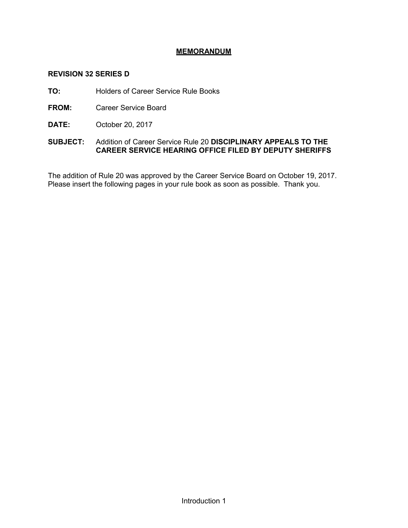# **MEMORANDUM**

# **REVISION 32 SERIES D**

**TO:** Holders of Career Service Rule Books

- **FROM:** Career Service Board
- **DATE:** October 20, 2017

# **SUBJECT:** Addition of Career Service Rule 20 **DISCIPLINARY APPEALS TO THE CAREER SERVICE HEARING OFFICE FILED BY DEPUTY SHERIFFS**

The addition of Rule 20 was approved by the Career Service Board on October 19, 2017. Please insert the following pages in your rule book as soon as possible. Thank you.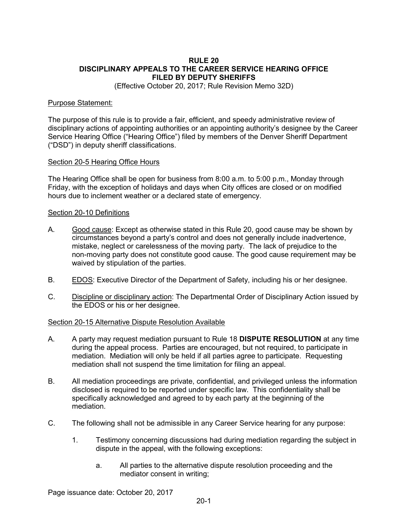#### **RULE 20 DISCIPLINARY APPEALS TO THE CAREER SERVICE HEARING OFFICE FILED BY DEPUTY SHERIFFS**

(Effective October 20, 2017; Rule Revision Memo 32D)

#### Purpose Statement:

The purpose of this rule is to provide a fair, efficient, and speedy administrative review of disciplinary actions of appointing authorities or an appointing authority's designee by the Career Service Hearing Office ("Hearing Office") filed by members of the Denver Sheriff Department ("DSD") in deputy sheriff classifications.

#### Section 20-5 Hearing Office Hours

The Hearing Office shall be open for business from 8:00 a.m. to 5:00 p.m., Monday through Friday, with the exception of holidays and days when City offices are closed or on modified hours due to inclement weather or a declared state of emergency.

#### Section 20-10 Definitions

- A. Good cause: Except as otherwise stated in this Rule 20, good cause may be shown by circumstances beyond a party's control and does not generally include inadvertence, mistake, neglect or carelessness of the moving party. The lack of prejudice to the non-moving party does not constitute good cause. The good cause requirement may be waived by stipulation of the parties.
- B. EDOS: Executive Director of the Department of Safety, including his or her designee.
- C. Discipline or disciplinary action: The Departmental Order of Disciplinary Action issued by the EDOS or his or her designee.

#### Section 20-15 Alternative Dispute Resolution Available

- A. A party may request mediation pursuant to Rule 18 **DISPUTE RESOLUTION** at any time during the appeal process. Parties are encouraged, but not required, to participate in mediation. Mediation will only be held if all parties agree to participate. Requesting mediation shall not suspend the time limitation for filing an appeal.
- B. All mediation proceedings are private, confidential, and privileged unless the information disclosed is required to be reported under specific law. This confidentiality shall be specifically acknowledged and agreed to by each party at the beginning of the mediation.
- C. The following shall not be admissible in any Career Service hearing for any purpose:
	- 1. Testimony concerning discussions had during mediation regarding the subject in dispute in the appeal, with the following exceptions:
		- a. All parties to the alternative dispute resolution proceeding and the mediator consent in writing;

Page issuance date: October 20, 2017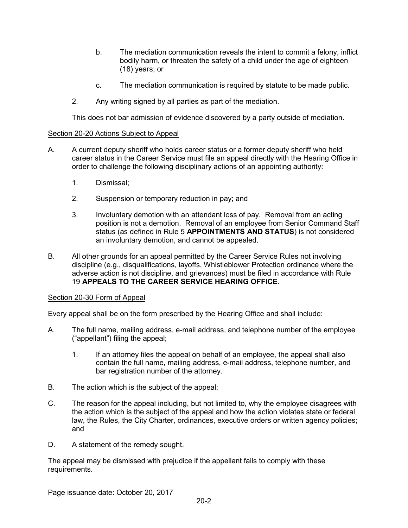- b. The mediation communication reveals the intent to commit a felony, inflict bodily harm, or threaten the safety of a child under the age of eighteen (18) years; or
- c. The mediation communication is required by statute to be made public.
- 2. Any writing signed by all parties as part of the mediation.

This does not bar admission of evidence discovered by a party outside of mediation.

#### Section 20-20 Actions Subject to Appeal

- A. A current deputy sheriff who holds career status or a former deputy sheriff who held career status in the Career Service must file an appeal directly with the Hearing Office in order to challenge the following disciplinary actions of an appointing authority:
	- 1. Dismissal;
	- 2. Suspension or temporary reduction in pay; and
	- 3. Involuntary demotion with an attendant loss of pay. Removal from an acting position is not a demotion. Removal of an employee from Senior Command Staff status (as defined in Rule 5 **APPOINTMENTS AND STATUS**) is not considered an involuntary demotion, and cannot be appealed.
- B. All other grounds for an appeal permitted by the Career Service Rules not involving discipline (e.g., disqualifications, layoffs, Whistleblower Protection ordinance where the adverse action is not discipline, and grievances) must be filed in accordance with Rule 19 **APPEALS TO THE CAREER SERVICE HEARING OFFICE**.

#### Section 20-30 Form of Appeal

Every appeal shall be on the form prescribed by the Hearing Office and shall include:

- A. The full name, mailing address, e-mail address, and telephone number of the employee ("appellant") filing the appeal;
	- 1. If an attorney files the appeal on behalf of an employee, the appeal shall also contain the full name, mailing address, e-mail address, telephone number, and bar registration number of the attorney.
- B. The action which is the subject of the appeal;
- C. The reason for the appeal including, but not limited to, why the employee disagrees with the action which is the subject of the appeal and how the action violates state or federal law, the Rules, the City Charter, ordinances, executive orders or written agency policies; and
- D. A statement of the remedy sought.

The appeal may be dismissed with prejudice if the appellant fails to comply with these requirements.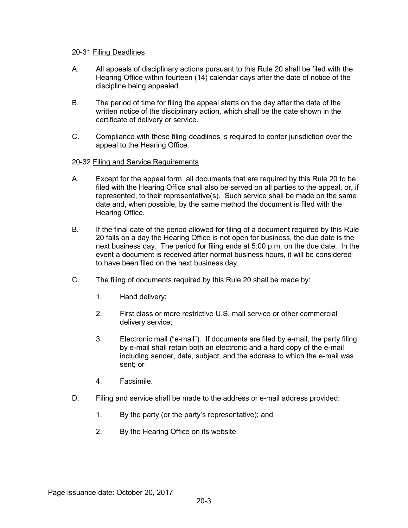#### 20-31 Filing Deadlines

- A. All appeals of disciplinary actions pursuant to this Rule 20 shall be filed with the Hearing Office within fourteen (14) calendar days after the date of notice of the discipline being appealed.
- B. The period of time for filing the appeal starts on the day after the date of the written notice of the disciplinary action, which shall be the date shown in the certificate of delivery or service.
- C. Compliance with these filing deadlines is required to confer jurisdiction over the appeal to the Hearing Office.

#### 20-32 Filing and Service Requirements

- A. Except for the appeal form, all documents that are required by this Rule 20 to be filed with the Hearing Office shall also be served on all parties to the appeal, or, if represented, to their representative(s). Such service shall be made on the same date and, when possible, by the same method the document is filed with the Hearing Office.
- B. If the final date of the period allowed for filing of a document required by this Rule 20 falls on a day the Hearing Office is not open for business, the due date is the next business day. The period for filing ends at 5:00 p.m. on the due date. In the event a document is received after normal business hours, it will be considered to have been filed on the next business day.
- C. The filing of documents required by this Rule 20 shall be made by:
	- 1. Hand delivery;
	- 2. First class or more restrictive U.S. mail service or other commercial delivery service;
	- 3. Electronic mail ("e-mail"). If documents are filed by e-mail, the party filing by e-mail shall retain both an electronic and a hard copy of the e-mail including sender, date, subject, and the address to which the e-mail was sent; or
	- 4. Facsimile.
- D. Filing and service shall be made to the address or e-mail address provided:
	- 1. By the party (or the party's representative); and
	- 2. By the Hearing Office on its website.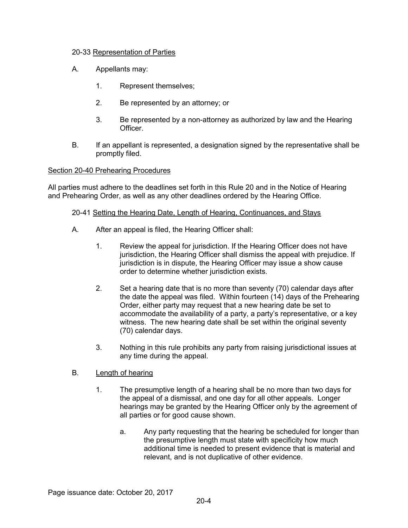## 20-33 Representation of Parties

- A. Appellants may:
	- 1. Represent themselves;
	- 2. Be represented by an attorney; or
	- 3. Be represented by a non-attorney as authorized by law and the Hearing Officer.
- B. If an appellant is represented, a designation signed by the representative shall be promptly filed.

#### Section 20-40 Prehearing Procedures

All parties must adhere to the deadlines set forth in this Rule 20 and in the Notice of Hearing and Prehearing Order, as well as any other deadlines ordered by the Hearing Office.

#### 20-41 Setting the Hearing Date, Length of Hearing, Continuances, and Stays

- A. After an appeal is filed, the Hearing Officer shall:
	- 1. Review the appeal for jurisdiction. If the Hearing Officer does not have jurisdiction, the Hearing Officer shall dismiss the appeal with prejudice. If jurisdiction is in dispute, the Hearing Officer may issue a show cause order to determine whether jurisdiction exists.
	- 2. Set a hearing date that is no more than seventy (70) calendar days after the date the appeal was filed. Within fourteen (14) days of the Prehearing Order, either party may request that a new hearing date be set to accommodate the availability of a party, a party's representative, or a key witness. The new hearing date shall be set within the original seventy (70) calendar days.
	- 3. Nothing in this rule prohibits any party from raising jurisdictional issues at any time during the appeal.

## B. Length of hearing

- 1. The presumptive length of a hearing shall be no more than two days for the appeal of a dismissal, and one day for all other appeals. Longer hearings may be granted by the Hearing Officer only by the agreement of all parties or for good cause shown.
	- a. Any party requesting that the hearing be scheduled for longer than the presumptive length must state with specificity how much additional time is needed to present evidence that is material and relevant, and is not duplicative of other evidence.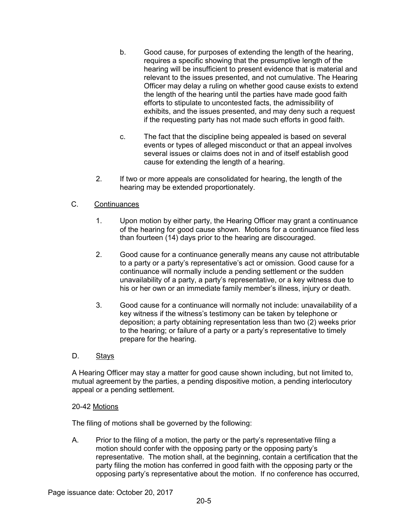- b. Good cause, for purposes of extending the length of the hearing, requires a specific showing that the presumptive length of the hearing will be insufficient to present evidence that is material and relevant to the issues presented, and not cumulative. The Hearing Officer may delay a ruling on whether good cause exists to extend the length of the hearing until the parties have made good faith efforts to stipulate to uncontested facts, the admissibility of exhibits, and the issues presented, and may deny such a request if the requesting party has not made such efforts in good faith.
- c. The fact that the discipline being appealed is based on several events or types of alleged misconduct or that an appeal involves several issues or claims does not in and of itself establish good cause for extending the length of a hearing.
- 2. If two or more appeals are consolidated for hearing, the length of the hearing may be extended proportionately.

# C. Continuances

- 1. Upon motion by either party, the Hearing Officer may grant a continuance of the hearing for good cause shown. Motions for a continuance filed less than fourteen (14) days prior to the hearing are discouraged.
- 2. Good cause for a continuance generally means any cause not attributable to a party or a party's representative's act or omission. Good cause for a continuance will normally include a pending settlement or the sudden unavailability of a party, a party's representative, or a key witness due to his or her own or an immediate family member's illness, injury or death.
- 3. Good cause for a continuance will normally not include: unavailability of a key witness if the witness's testimony can be taken by telephone or deposition; a party obtaining representation less than two (2) weeks prior to the hearing; or failure of a party or a party's representative to timely prepare for the hearing.
- D. Stays

A Hearing Officer may stay a matter for good cause shown including, but not limited to, mutual agreement by the parties, a pending dispositive motion, a pending interlocutory appeal or a pending settlement.

## 20-42 Motions

The filing of motions shall be governed by the following:

A. Prior to the filing of a motion, the party or the party's representative filing a motion should confer with the opposing party or the opposing party's representative. The motion shall, at the beginning, contain a certification that the party filing the motion has conferred in good faith with the opposing party or the opposing party's representative about the motion. If no conference has occurred,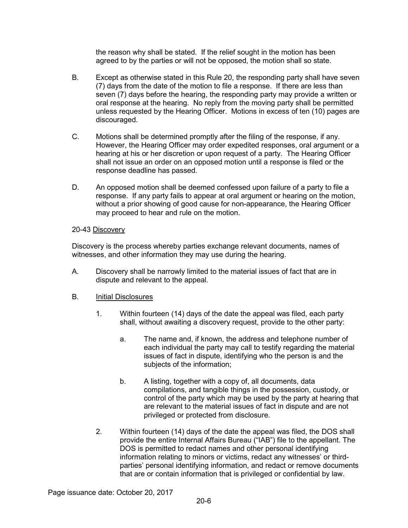the reason why shall be stated. If the relief sought in the motion has been agreed to by the parties or will not be opposed, the motion shall so state.

- B. Except as otherwise stated in this Rule 20, the responding party shall have seven (7) days from the date of the motion to file a response. If there are less than seven (7) days before the hearing, the responding party may provide a written or oral response at the hearing. No reply from the moving party shall be permitted unless requested by the Hearing Officer. Motions in excess of ten (10) pages are discouraged.
- C. Motions shall be determined promptly after the filing of the response, if any. However, the Hearing Officer may order expedited responses, oral argument or a hearing at his or her discretion or upon request of a party. The Hearing Officer shall not issue an order on an opposed motion until a response is filed or the response deadline has passed.
- D. An opposed motion shall be deemed confessed upon failure of a party to file a response. If any party fails to appear at oral argument or hearing on the motion, without a prior showing of good cause for non-appearance, the Hearing Officer may proceed to hear and rule on the motion.

## 20-43 Discovery

Discovery is the process whereby parties exchange relevant documents, names of witnesses, and other information they may use during the hearing.

A. Discovery shall be narrowly limited to the material issues of fact that are in dispute and relevant to the appeal.

## B. Initial Disclosures

- 1. Within fourteen (14) days of the date the appeal was filed, each party shall, without awaiting a discovery request, provide to the other party:
	- a. The name and, if known, the address and telephone number of each individual the party may call to testify regarding the material issues of fact in dispute, identifying who the person is and the subjects of the information;
	- b. A listing, together with a copy of, all documents, data compilations, and tangible things in the possession, custody, or control of the party which may be used by the party at hearing that are relevant to the material issues of fact in dispute and are not privileged or protected from disclosure.
- 2. Within fourteen (14) days of the date the appeal was filed, the DOS shall provide the entire Internal Affairs Bureau ("IAB") file to the appellant. The DOS is permitted to redact names and other personal identifying information relating to minors or victims, redact any witnesses' or thirdparties' personal identifying information, and redact or remove documents that are or contain information that is privileged or confidential by law.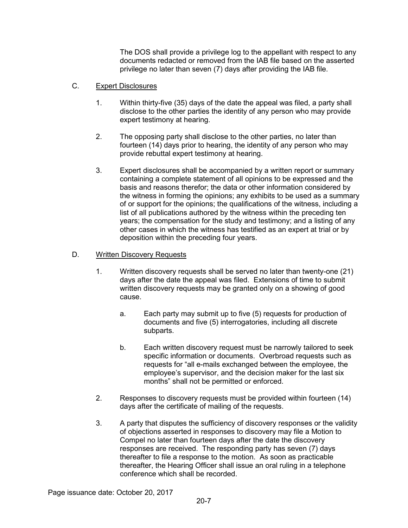The DOS shall provide a privilege log to the appellant with respect to any documents redacted or removed from the IAB file based on the asserted privilege no later than seven (7) days after providing the IAB file.

# C. Expert Disclosures

- 1. Within thirty-five (35) days of the date the appeal was filed, a party shall disclose to the other parties the identity of any person who may provide expert testimony at hearing.
- 2. The opposing party shall disclose to the other parties, no later than fourteen (14) days prior to hearing, the identity of any person who may provide rebuttal expert testimony at hearing.
- 3. Expert disclosures shall be accompanied by a written report or summary containing a complete statement of all opinions to be expressed and the basis and reasons therefor; the data or other information considered by the witness in forming the opinions; any exhibits to be used as a summary of or support for the opinions; the qualifications of the witness, including a list of all publications authored by the witness within the preceding ten years; the compensation for the study and testimony; and a listing of any other cases in which the witness has testified as an expert at trial or by deposition within the preceding four years.

## D. Written Discovery Requests

- 1. Written discovery requests shall be served no later than twenty-one (21) days after the date the appeal was filed. Extensions of time to submit written discovery requests may be granted only on a showing of good cause.
	- a. Each party may submit up to five (5) requests for production of documents and five (5) interrogatories, including all discrete subparts.
	- b. Each written discovery request must be narrowly tailored to seek specific information or documents. Overbroad requests such as requests for "all e-mails exchanged between the employee, the employee's supervisor, and the decision maker for the last six months" shall not be permitted or enforced.
- 2. Responses to discovery requests must be provided within fourteen (14) days after the certificate of mailing of the requests.
- 3. A party that disputes the sufficiency of discovery responses or the validity of objections asserted in responses to discovery may file a Motion to Compel no later than fourteen days after the date the discovery responses are received. The responding party has seven (7) days thereafter to file a response to the motion. As soon as practicable thereafter, the Hearing Officer shall issue an oral ruling in a telephone conference which shall be recorded.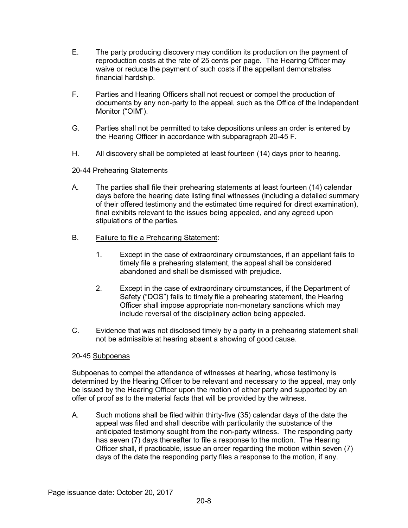- E. The party producing discovery may condition its production on the payment of reproduction costs at the rate of 25 cents per page. The Hearing Officer may waive or reduce the payment of such costs if the appellant demonstrates financial hardship.
- F. Parties and Hearing Officers shall not request or compel the production of documents by any non-party to the appeal, such as the Office of the Independent Monitor ("OIM").
- G. Parties shall not be permitted to take depositions unless an order is entered by the Hearing Officer in accordance with subparagraph 20-45 F.
- H. All discovery shall be completed at least fourteen (14) days prior to hearing.

# 20-44 Prehearing Statements

- A. The parties shall file their prehearing statements at least fourteen (14) calendar days before the hearing date listing final witnesses (including a detailed summary of their offered testimony and the estimated time required for direct examination), final exhibits relevant to the issues being appealed, and any agreed upon stipulations of the parties.
- B. Failure to file a Prehearing Statement:
	- 1. Except in the case of extraordinary circumstances, if an appellant fails to timely file a prehearing statement, the appeal shall be considered abandoned and shall be dismissed with prejudice.
	- 2. Except in the case of extraordinary circumstances, if the Department of Safety ("DOS") fails to timely file a prehearing statement, the Hearing Officer shall impose appropriate non-monetary sanctions which may include reversal of the disciplinary action being appealed.
- C. Evidence that was not disclosed timely by a party in a prehearing statement shall not be admissible at hearing absent a showing of good cause.

## 20-45 Subpoenas

Subpoenas to compel the attendance of witnesses at hearing, whose testimony is determined by the Hearing Officer to be relevant and necessary to the appeal, may only be issued by the Hearing Officer upon the motion of either party and supported by an offer of proof as to the material facts that will be provided by the witness.

A. Such motions shall be filed within thirty-five (35) calendar days of the date the appeal was filed and shall describe with particularity the substance of the anticipated testimony sought from the non-party witness. The responding party has seven (7) days thereafter to file a response to the motion. The Hearing Officer shall, if practicable, issue an order regarding the motion within seven (7) days of the date the responding party files a response to the motion, if any.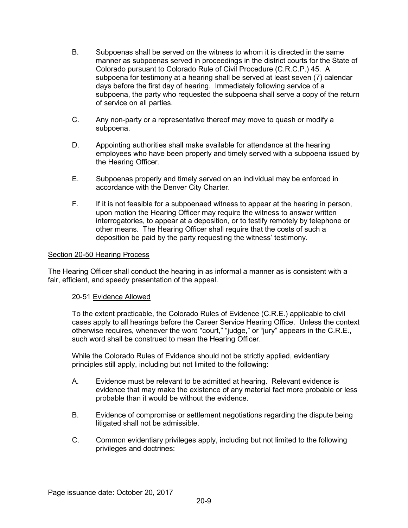- B. Subpoenas shall be served on the witness to whom it is directed in the same manner as subpoenas served in proceedings in the district courts for the State of Colorado pursuant to Colorado Rule of Civil Procedure (C.R.C.P.) 45. A subpoena for testimony at a hearing shall be served at least seven (7) calendar days before the first day of hearing. Immediately following service of a subpoena, the party who requested the subpoena shall serve a copy of the return of service on all parties.
- C. Any non-party or a representative thereof may move to quash or modify a subpoena.
- D. Appointing authorities shall make available for attendance at the hearing employees who have been properly and timely served with a subpoena issued by the Hearing Officer.
- E. Subpoenas properly and timely served on an individual may be enforced in accordance with the Denver City Charter.
- F. If it is not feasible for a subpoenaed witness to appear at the hearing in person, upon motion the Hearing Officer may require the witness to answer written interrogatories, to appear at a deposition, or to testify remotely by telephone or other means. The Hearing Officer shall require that the costs of such a deposition be paid by the party requesting the witness' testimony.

## Section 20-50 Hearing Process

The Hearing Officer shall conduct the hearing in as informal a manner as is consistent with a fair, efficient, and speedy presentation of the appeal.

## 20-51 Evidence Allowed

To the extent practicable, the Colorado Rules of Evidence (C.R.E.) applicable to civil cases apply to all hearings before the Career Service Hearing Office. Unless the context otherwise requires, whenever the word "court," "judge," or "jury" appears in the C.R.E., such word shall be construed to mean the Hearing Officer.

While the Colorado Rules of Evidence should not be strictly applied, evidentiary principles still apply, including but not limited to the following:

- A. Evidence must be relevant to be admitted at hearing. Relevant evidence is evidence that may make the existence of any material fact more probable or less probable than it would be without the evidence.
- B. Evidence of compromise or settlement negotiations regarding the dispute being litigated shall not be admissible.
- C. Common evidentiary privileges apply, including but not limited to the following privileges and doctrines: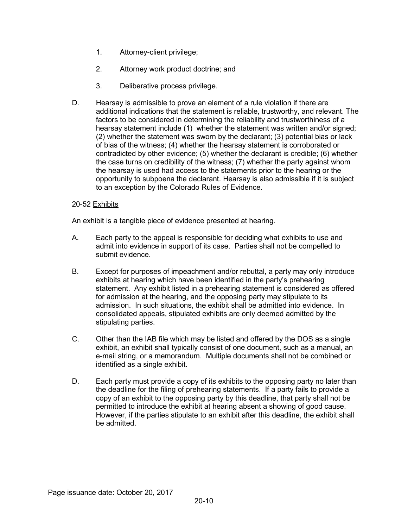- 1. Attorney-client privilege;
- 2. Attorney work product doctrine; and
- 3. Deliberative process privilege.
- D. Hearsay is admissible to prove an element of a rule violation if there are additional indications that the statement is reliable, trustworthy, and relevant. The factors to be considered in determining the reliability and trustworthiness of a hearsay statement include (1) whether the statement was written and/or signed; (2) whether the statement was sworn by the declarant; (3) potential bias or lack of bias of the witness; (4) whether the hearsay statement is corroborated or contradicted by other evidence; (5) whether the declarant is credible; (6) whether the case turns on credibility of the witness; (7) whether the party against whom the hearsay is used had access to the statements prior to the hearing or the opportunity to subpoena the declarant. Hearsay is also admissible if it is subject to an exception by the Colorado Rules of Evidence.

## 20-52 Exhibits

An exhibit is a tangible piece of evidence presented at hearing.

- A. Each party to the appeal is responsible for deciding what exhibits to use and admit into evidence in support of its case. Parties shall not be compelled to submit evidence.
- B. Except for purposes of impeachment and/or rebuttal, a party may only introduce exhibits at hearing which have been identified in the party's prehearing statement. Any exhibit listed in a prehearing statement is considered as offered for admission at the hearing, and the opposing party may stipulate to its admission. In such situations, the exhibit shall be admitted into evidence. In consolidated appeals, stipulated exhibits are only deemed admitted by the stipulating parties.
- C. Other than the IAB file which may be listed and offered by the DOS as a single exhibit, an exhibit shall typically consist of one document, such as a manual, an e-mail string, or a memorandum. Multiple documents shall not be combined or identified as a single exhibit.
- D. Each party must provide a copy of its exhibits to the opposing party no later than the deadline for the filing of prehearing statements. If a party fails to provide a copy of an exhibit to the opposing party by this deadline, that party shall not be permitted to introduce the exhibit at hearing absent a showing of good cause. However, if the parties stipulate to an exhibit after this deadline, the exhibit shall be admitted.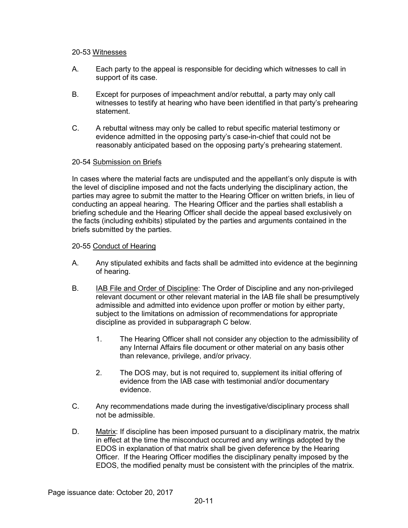#### 20-53 Witnesses

- A. Each party to the appeal is responsible for deciding which witnesses to call in support of its case.
- B. Except for purposes of impeachment and/or rebuttal, a party may only call witnesses to testify at hearing who have been identified in that party's prehearing statement.
- C. A rebuttal witness may only be called to rebut specific material testimony or evidence admitted in the opposing party's case-in-chief that could not be reasonably anticipated based on the opposing party's prehearing statement.

## 20-54 Submission on Briefs

In cases where the material facts are undisputed and the appellant's only dispute is with the level of discipline imposed and not the facts underlying the disciplinary action, the parties may agree to submit the matter to the Hearing Officer on written briefs, in lieu of conducting an appeal hearing. The Hearing Officer and the parties shall establish a briefing schedule and the Hearing Officer shall decide the appeal based exclusively on the facts (including exhibits) stipulated by the parties and arguments contained in the briefs submitted by the parties.

#### 20-55 Conduct of Hearing

- A. Any stipulated exhibits and facts shall be admitted into evidence at the beginning of hearing.
- B. **IAB File and Order of Discipline:** The Order of Discipline and any non-privileged relevant document or other relevant material in the IAB file shall be presumptively admissible and admitted into evidence upon proffer or motion by either party, subject to the limitations on admission of recommendations for appropriate discipline as provided in subparagraph C below.
	- 1. The Hearing Officer shall not consider any objection to the admissibility of any Internal Affairs file document or other material on any basis other than relevance, privilege, and/or privacy.
	- 2. The DOS may, but is not required to, supplement its initial offering of evidence from the IAB case with testimonial and/or documentary evidence.
- C. Any recommendations made during the investigative/disciplinary process shall not be admissible.
- D. Matrix: If discipline has been imposed pursuant to a disciplinary matrix, the matrix in effect at the time the misconduct occurred and any writings adopted by the EDOS in explanation of that matrix shall be given deference by the Hearing Officer. If the Hearing Officer modifies the disciplinary penalty imposed by the EDOS, the modified penalty must be consistent with the principles of the matrix.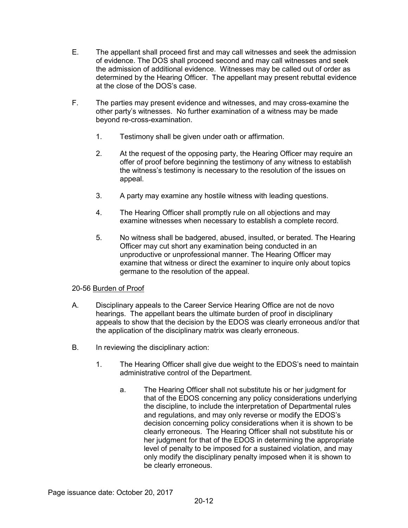- E. The appellant shall proceed first and may call witnesses and seek the admission of evidence. The DOS shall proceed second and may call witnesses and seek the admission of additional evidence. Witnesses may be called out of order as determined by the Hearing Officer. The appellant may present rebuttal evidence at the close of the DOS's case.
- F. The parties may present evidence and witnesses, and may cross-examine the other party's witnesses. No further examination of a witness may be made beyond re-cross-examination.
	- 1. Testimony shall be given under oath or affirmation.
	- 2. At the request of the opposing party, the Hearing Officer may require an offer of proof before beginning the testimony of any witness to establish the witness's testimony is necessary to the resolution of the issues on appeal.
	- 3. A party may examine any hostile witness with leading questions.
	- 4. The Hearing Officer shall promptly rule on all objections and may examine witnesses when necessary to establish a complete record.
	- 5. No witness shall be badgered, abused, insulted, or berated. The Hearing Officer may cut short any examination being conducted in an unproductive or unprofessional manner. The Hearing Officer may examine that witness or direct the examiner to inquire only about topics germane to the resolution of the appeal.

## 20-56 Burden of Proof

- A. Disciplinary appeals to the Career Service Hearing Office are not de novo hearings. The appellant bears the ultimate burden of proof in disciplinary appeals to show that the decision by the EDOS was clearly erroneous and/or that the application of the disciplinary matrix was clearly erroneous.
- B. In reviewing the disciplinary action:
	- 1. The Hearing Officer shall give due weight to the EDOS's need to maintain administrative control of the Department.
		- a. The Hearing Officer shall not substitute his or her judgment for that of the EDOS concerning any policy considerations underlying the discipline, to include the interpretation of Departmental rules and regulations, and may only reverse or modify the EDOS's decision concerning policy considerations when it is shown to be clearly erroneous. The Hearing Officer shall not substitute his or her judgment for that of the EDOS in determining the appropriate level of penalty to be imposed for a sustained violation, and may only modify the disciplinary penalty imposed when it is shown to be clearly erroneous.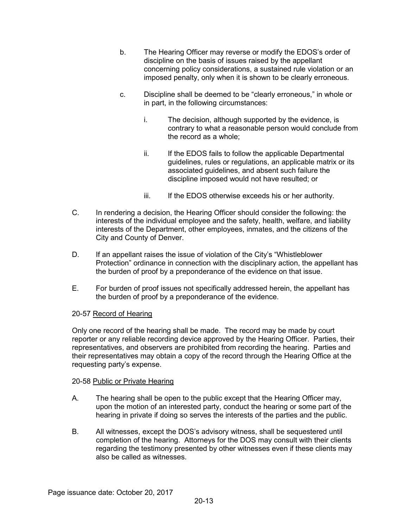- b. The Hearing Officer may reverse or modify the EDOS's order of discipline on the basis of issues raised by the appellant concerning policy considerations, a sustained rule violation or an imposed penalty, only when it is shown to be clearly erroneous.
- c. Discipline shall be deemed to be "clearly erroneous," in whole or in part, in the following circumstances:
	- i. The decision, although supported by the evidence, is contrary to what a reasonable person would conclude from the record as a whole;
	- ii. If the EDOS fails to follow the applicable Departmental guidelines, rules or regulations, an applicable matrix or its associated guidelines, and absent such failure the discipline imposed would not have resulted; or
	- iii. If the EDOS otherwise exceeds his or her authority.
- C. In rendering a decision, the Hearing Officer should consider the following: the interests of the individual employee and the safety, health, welfare, and liability interests of the Department, other employees, inmates, and the citizens of the City and County of Denver.
- D. If an appellant raises the issue of violation of the City's "Whistleblower Protection" ordinance in connection with the disciplinary action, the appellant has the burden of proof by a preponderance of the evidence on that issue.
- E. For burden of proof issues not specifically addressed herein, the appellant has the burden of proof by a preponderance of the evidence.

## 20-57 Record of Hearing

Only one record of the hearing shall be made. The record may be made by court reporter or any reliable recording device approved by the Hearing Officer. Parties, their representatives, and observers are prohibited from recording the hearing. Parties and their representatives may obtain a copy of the record through the Hearing Office at the requesting party's expense.

## 20-58 Public or Private Hearing

- A. The hearing shall be open to the public except that the Hearing Officer may, upon the motion of an interested party, conduct the hearing or some part of the hearing in private if doing so serves the interests of the parties and the public.
- B. All witnesses, except the DOS's advisory witness, shall be sequestered until completion of the hearing. Attorneys for the DOS may consult with their clients regarding the testimony presented by other witnesses even if these clients may also be called as witnesses.